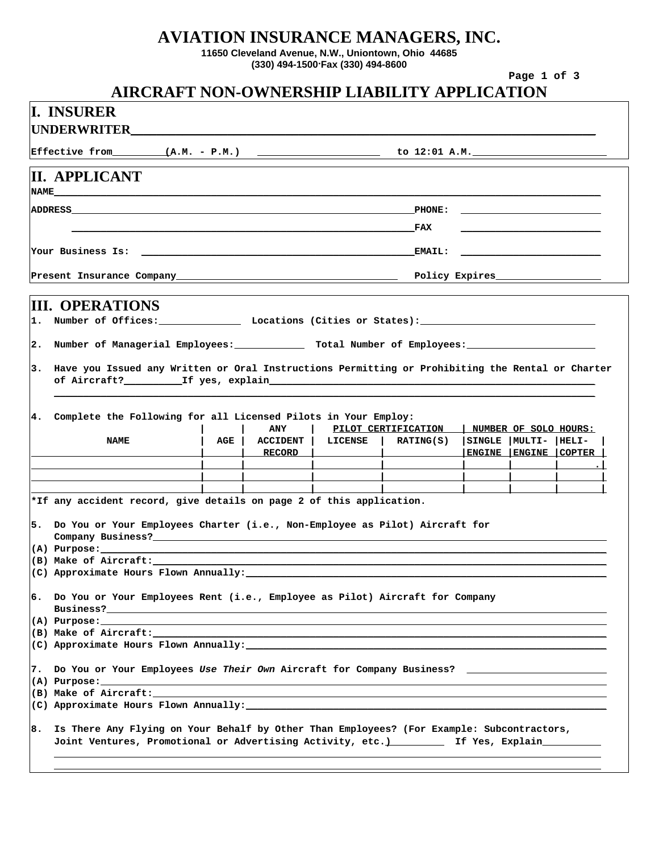# **AVIATION INSURANCE MANAGERS, INC.**

**11650 Cleveland Avenue, N.W., Uniontown, Ohio 44685 (330) 494-1500. Fax (330) 494-8600**

| UNDERWRITER <b>EXECUTE IN THE SERVICE SERVICE IN THE SERVICE IN THE SERVICE IN THE SERVICE IN THE SERVICE IN THE</b><br>Effective from $(A.M. - P.M.)$ to 12:01 A.M.<br><b>II. APPLICANT</b><br><b>NAME</b><br><u> 1989 - Jan James James Barnett, amerikansk politik (d. 1989)</u><br>in the contract of the contract of the contract of the contract of the contract of the contract of the contract of the contract of the contract of the contract of the contract of the contract of the contract of the contrac<br><b>III. OPERATIONS</b><br>Number of Managerial Employees:______________ Total Number of Employees:___________________________<br>2.<br>3.<br>4. Complete the Following for all Licensed Pilots in Your Employ:<br>PILOT CERTIFICATION<br><b>ANY</b><br><u>  NUMBER OF SOLO HOURS:</u><br><b>NAME</b><br>ACCIDENT  <br>SINGLE  MULTI-  HELI-<br>AGE<br><b>LICENSE</b><br>RATING(S)<br>ENGINE ENGINE COPTER<br><b>RECORD</b><br>*If any accident record, give details on page 2 of this application.<br>5. Do You or Your Employees Charter (i.e., Non-Employee as Pilot) Aircraft for<br>(A) Purpose:<br>(C) Approximate Hours Flown Annually:<br>6. Do You or Your Employees Rent (i.e., Employee as Pilot) Aircraft for Company<br>(C) Approximate Hours Flown Annually: The contract of the contract of the contract of the contract of the contract of the contract of the contract of the contract of the contract of the contract of the contract of the cont<br>7. Do You or Your Employees Use Their Own Aircraft for Company Business? __________________________<br>(B) Make of Aircraft: National Communication of the Communication of the Communication of the Communication of the Communication of the Communication of the Communication of the Communication of the Communication of the Co | <b>I. INSURER</b>                                                                                |  |  |  |  |  |  |  |
|--------------------------------------------------------------------------------------------------------------------------------------------------------------------------------------------------------------------------------------------------------------------------------------------------------------------------------------------------------------------------------------------------------------------------------------------------------------------------------------------------------------------------------------------------------------------------------------------------------------------------------------------------------------------------------------------------------------------------------------------------------------------------------------------------------------------------------------------------------------------------------------------------------------------------------------------------------------------------------------------------------------------------------------------------------------------------------------------------------------------------------------------------------------------------------------------------------------------------------------------------------------------------------------------------------------------------------------------------------------------------------------------------------------------------------------------------------------------------------------------------------------------------------------------------------------------------------------------------------------------------------------------------------------------------------------------------------------------------------------------------------------------------------------------------------------------------------------|--------------------------------------------------------------------------------------------------|--|--|--|--|--|--|--|
|                                                                                                                                                                                                                                                                                                                                                                                                                                                                                                                                                                                                                                                                                                                                                                                                                                                                                                                                                                                                                                                                                                                                                                                                                                                                                                                                                                                                                                                                                                                                                                                                                                                                                                                                                                                                                                      |                                                                                                  |  |  |  |  |  |  |  |
|                                                                                                                                                                                                                                                                                                                                                                                                                                                                                                                                                                                                                                                                                                                                                                                                                                                                                                                                                                                                                                                                                                                                                                                                                                                                                                                                                                                                                                                                                                                                                                                                                                                                                                                                                                                                                                      |                                                                                                  |  |  |  |  |  |  |  |
|                                                                                                                                                                                                                                                                                                                                                                                                                                                                                                                                                                                                                                                                                                                                                                                                                                                                                                                                                                                                                                                                                                                                                                                                                                                                                                                                                                                                                                                                                                                                                                                                                                                                                                                                                                                                                                      |                                                                                                  |  |  |  |  |  |  |  |
|                                                                                                                                                                                                                                                                                                                                                                                                                                                                                                                                                                                                                                                                                                                                                                                                                                                                                                                                                                                                                                                                                                                                                                                                                                                                                                                                                                                                                                                                                                                                                                                                                                                                                                                                                                                                                                      |                                                                                                  |  |  |  |  |  |  |  |
|                                                                                                                                                                                                                                                                                                                                                                                                                                                                                                                                                                                                                                                                                                                                                                                                                                                                                                                                                                                                                                                                                                                                                                                                                                                                                                                                                                                                                                                                                                                                                                                                                                                                                                                                                                                                                                      |                                                                                                  |  |  |  |  |  |  |  |
|                                                                                                                                                                                                                                                                                                                                                                                                                                                                                                                                                                                                                                                                                                                                                                                                                                                                                                                                                                                                                                                                                                                                                                                                                                                                                                                                                                                                                                                                                                                                                                                                                                                                                                                                                                                                                                      |                                                                                                  |  |  |  |  |  |  |  |
|                                                                                                                                                                                                                                                                                                                                                                                                                                                                                                                                                                                                                                                                                                                                                                                                                                                                                                                                                                                                                                                                                                                                                                                                                                                                                                                                                                                                                                                                                                                                                                                                                                                                                                                                                                                                                                      |                                                                                                  |  |  |  |  |  |  |  |
|                                                                                                                                                                                                                                                                                                                                                                                                                                                                                                                                                                                                                                                                                                                                                                                                                                                                                                                                                                                                                                                                                                                                                                                                                                                                                                                                                                                                                                                                                                                                                                                                                                                                                                                                                                                                                                      |                                                                                                  |  |  |  |  |  |  |  |
|                                                                                                                                                                                                                                                                                                                                                                                                                                                                                                                                                                                                                                                                                                                                                                                                                                                                                                                                                                                                                                                                                                                                                                                                                                                                                                                                                                                                                                                                                                                                                                                                                                                                                                                                                                                                                                      |                                                                                                  |  |  |  |  |  |  |  |
|                                                                                                                                                                                                                                                                                                                                                                                                                                                                                                                                                                                                                                                                                                                                                                                                                                                                                                                                                                                                                                                                                                                                                                                                                                                                                                                                                                                                                                                                                                                                                                                                                                                                                                                                                                                                                                      |                                                                                                  |  |  |  |  |  |  |  |
|                                                                                                                                                                                                                                                                                                                                                                                                                                                                                                                                                                                                                                                                                                                                                                                                                                                                                                                                                                                                                                                                                                                                                                                                                                                                                                                                                                                                                                                                                                                                                                                                                                                                                                                                                                                                                                      |                                                                                                  |  |  |  |  |  |  |  |
|                                                                                                                                                                                                                                                                                                                                                                                                                                                                                                                                                                                                                                                                                                                                                                                                                                                                                                                                                                                                                                                                                                                                                                                                                                                                                                                                                                                                                                                                                                                                                                                                                                                                                                                                                                                                                                      |                                                                                                  |  |  |  |  |  |  |  |
|                                                                                                                                                                                                                                                                                                                                                                                                                                                                                                                                                                                                                                                                                                                                                                                                                                                                                                                                                                                                                                                                                                                                                                                                                                                                                                                                                                                                                                                                                                                                                                                                                                                                                                                                                                                                                                      |                                                                                                  |  |  |  |  |  |  |  |
|                                                                                                                                                                                                                                                                                                                                                                                                                                                                                                                                                                                                                                                                                                                                                                                                                                                                                                                                                                                                                                                                                                                                                                                                                                                                                                                                                                                                                                                                                                                                                                                                                                                                                                                                                                                                                                      | Have you Issued any Written or Oral Instructions Permitting or Prohibiting the Rental or Charter |  |  |  |  |  |  |  |
|                                                                                                                                                                                                                                                                                                                                                                                                                                                                                                                                                                                                                                                                                                                                                                                                                                                                                                                                                                                                                                                                                                                                                                                                                                                                                                                                                                                                                                                                                                                                                                                                                                                                                                                                                                                                                                      |                                                                                                  |  |  |  |  |  |  |  |
|                                                                                                                                                                                                                                                                                                                                                                                                                                                                                                                                                                                                                                                                                                                                                                                                                                                                                                                                                                                                                                                                                                                                                                                                                                                                                                                                                                                                                                                                                                                                                                                                                                                                                                                                                                                                                                      |                                                                                                  |  |  |  |  |  |  |  |
|                                                                                                                                                                                                                                                                                                                                                                                                                                                                                                                                                                                                                                                                                                                                                                                                                                                                                                                                                                                                                                                                                                                                                                                                                                                                                                                                                                                                                                                                                                                                                                                                                                                                                                                                                                                                                                      |                                                                                                  |  |  |  |  |  |  |  |
|                                                                                                                                                                                                                                                                                                                                                                                                                                                                                                                                                                                                                                                                                                                                                                                                                                                                                                                                                                                                                                                                                                                                                                                                                                                                                                                                                                                                                                                                                                                                                                                                                                                                                                                                                                                                                                      |                                                                                                  |  |  |  |  |  |  |  |
|                                                                                                                                                                                                                                                                                                                                                                                                                                                                                                                                                                                                                                                                                                                                                                                                                                                                                                                                                                                                                                                                                                                                                                                                                                                                                                                                                                                                                                                                                                                                                                                                                                                                                                                                                                                                                                      |                                                                                                  |  |  |  |  |  |  |  |
|                                                                                                                                                                                                                                                                                                                                                                                                                                                                                                                                                                                                                                                                                                                                                                                                                                                                                                                                                                                                                                                                                                                                                                                                                                                                                                                                                                                                                                                                                                                                                                                                                                                                                                                                                                                                                                      |                                                                                                  |  |  |  |  |  |  |  |
|                                                                                                                                                                                                                                                                                                                                                                                                                                                                                                                                                                                                                                                                                                                                                                                                                                                                                                                                                                                                                                                                                                                                                                                                                                                                                                                                                                                                                                                                                                                                                                                                                                                                                                                                                                                                                                      |                                                                                                  |  |  |  |  |  |  |  |
|                                                                                                                                                                                                                                                                                                                                                                                                                                                                                                                                                                                                                                                                                                                                                                                                                                                                                                                                                                                                                                                                                                                                                                                                                                                                                                                                                                                                                                                                                                                                                                                                                                                                                                                                                                                                                                      |                                                                                                  |  |  |  |  |  |  |  |
|                                                                                                                                                                                                                                                                                                                                                                                                                                                                                                                                                                                                                                                                                                                                                                                                                                                                                                                                                                                                                                                                                                                                                                                                                                                                                                                                                                                                                                                                                                                                                                                                                                                                                                                                                                                                                                      |                                                                                                  |  |  |  |  |  |  |  |
|                                                                                                                                                                                                                                                                                                                                                                                                                                                                                                                                                                                                                                                                                                                                                                                                                                                                                                                                                                                                                                                                                                                                                                                                                                                                                                                                                                                                                                                                                                                                                                                                                                                                                                                                                                                                                                      |                                                                                                  |  |  |  |  |  |  |  |
|                                                                                                                                                                                                                                                                                                                                                                                                                                                                                                                                                                                                                                                                                                                                                                                                                                                                                                                                                                                                                                                                                                                                                                                                                                                                                                                                                                                                                                                                                                                                                                                                                                                                                                                                                                                                                                      |                                                                                                  |  |  |  |  |  |  |  |
|                                                                                                                                                                                                                                                                                                                                                                                                                                                                                                                                                                                                                                                                                                                                                                                                                                                                                                                                                                                                                                                                                                                                                                                                                                                                                                                                                                                                                                                                                                                                                                                                                                                                                                                                                                                                                                      |                                                                                                  |  |  |  |  |  |  |  |
|                                                                                                                                                                                                                                                                                                                                                                                                                                                                                                                                                                                                                                                                                                                                                                                                                                                                                                                                                                                                                                                                                                                                                                                                                                                                                                                                                                                                                                                                                                                                                                                                                                                                                                                                                                                                                                      |                                                                                                  |  |  |  |  |  |  |  |
|                                                                                                                                                                                                                                                                                                                                                                                                                                                                                                                                                                                                                                                                                                                                                                                                                                                                                                                                                                                                                                                                                                                                                                                                                                                                                                                                                                                                                                                                                                                                                                                                                                                                                                                                                                                                                                      |                                                                                                  |  |  |  |  |  |  |  |
|                                                                                                                                                                                                                                                                                                                                                                                                                                                                                                                                                                                                                                                                                                                                                                                                                                                                                                                                                                                                                                                                                                                                                                                                                                                                                                                                                                                                                                                                                                                                                                                                                                                                                                                                                                                                                                      |                                                                                                  |  |  |  |  |  |  |  |
|                                                                                                                                                                                                                                                                                                                                                                                                                                                                                                                                                                                                                                                                                                                                                                                                                                                                                                                                                                                                                                                                                                                                                                                                                                                                                                                                                                                                                                                                                                                                                                                                                                                                                                                                                                                                                                      |                                                                                                  |  |  |  |  |  |  |  |
|                                                                                                                                                                                                                                                                                                                                                                                                                                                                                                                                                                                                                                                                                                                                                                                                                                                                                                                                                                                                                                                                                                                                                                                                                                                                                                                                                                                                                                                                                                                                                                                                                                                                                                                                                                                                                                      |                                                                                                  |  |  |  |  |  |  |  |
|                                                                                                                                                                                                                                                                                                                                                                                                                                                                                                                                                                                                                                                                                                                                                                                                                                                                                                                                                                                                                                                                                                                                                                                                                                                                                                                                                                                                                                                                                                                                                                                                                                                                                                                                                                                                                                      |                                                                                                  |  |  |  |  |  |  |  |
|                                                                                                                                                                                                                                                                                                                                                                                                                                                                                                                                                                                                                                                                                                                                                                                                                                                                                                                                                                                                                                                                                                                                                                                                                                                                                                                                                                                                                                                                                                                                                                                                                                                                                                                                                                                                                                      |                                                                                                  |  |  |  |  |  |  |  |
|                                                                                                                                                                                                                                                                                                                                                                                                                                                                                                                                                                                                                                                                                                                                                                                                                                                                                                                                                                                                                                                                                                                                                                                                                                                                                                                                                                                                                                                                                                                                                                                                                                                                                                                                                                                                                                      |                                                                                                  |  |  |  |  |  |  |  |
| (C) Approximate Hours Flown Annually: The contract of the contract of the contract of the contract of the contract of the contract of the contract of the contract of the contract of the contract of the contract of the cont                                                                                                                                                                                                                                                                                                                                                                                                                                                                                                                                                                                                                                                                                                                                                                                                                                                                                                                                                                                                                                                                                                                                                                                                                                                                                                                                                                                                                                                                                                                                                                                                       |                                                                                                  |  |  |  |  |  |  |  |
| 8.<br>Is There Any Flying on Your Behalf by Other Than Employees? (For Example: Subcontractors,                                                                                                                                                                                                                                                                                                                                                                                                                                                                                                                                                                                                                                                                                                                                                                                                                                                                                                                                                                                                                                                                                                                                                                                                                                                                                                                                                                                                                                                                                                                                                                                                                                                                                                                                      |                                                                                                  |  |  |  |  |  |  |  |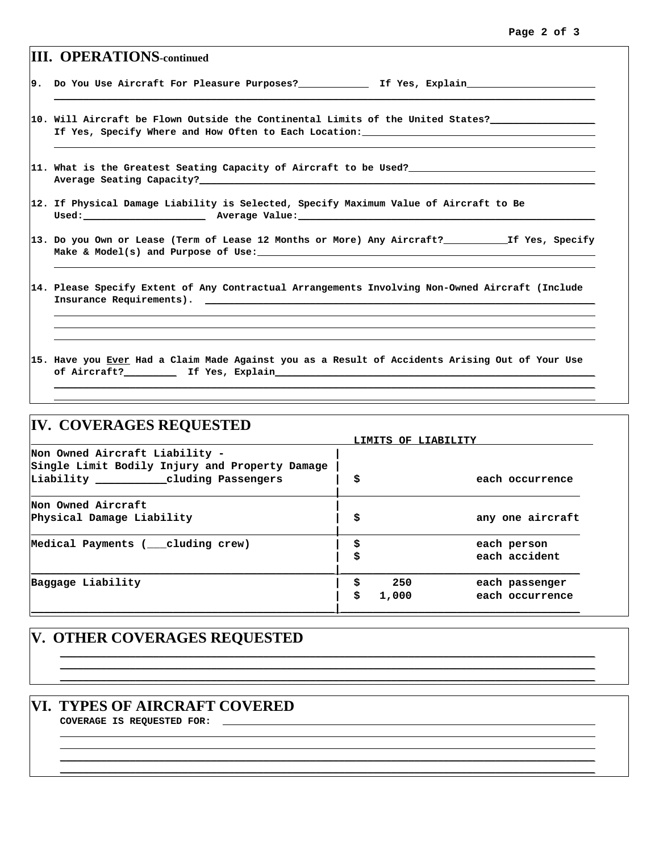#### Page 2 of 3

| <b>III. OPERATIONS-continued</b>                                                                                                                                                                                                                                                                                                      |                       |
|---------------------------------------------------------------------------------------------------------------------------------------------------------------------------------------------------------------------------------------------------------------------------------------------------------------------------------------|-----------------------|
|                                                                                                                                                                                                                                                                                                                                       |                       |
|                                                                                                                                                                                                                                                                                                                                       |                       |
| 10. Will Aircraft be Flown Outside the Continental Limits of the United States?                                                                                                                                                                                                                                                       |                       |
| 11. What is the Greatest Seating Capacity of Aircraft to be Used? The manuscription of the Createst<br>Average Seating Capacity? Area and the contract of the contract of the contract of the contract of the contract of the contract of the contract of the contract of the contract of the contract of the contract of the contrac |                       |
| 12. If Physical Damage Liability is Selected, Specify Maximum Value of Aircraft to Be                                                                                                                                                                                                                                                 |                       |
|                                                                                                                                                                                                                                                                                                                                       |                       |
| 14. Please Specify Extent of Any Contractual Arrangements Involving Non-Owned Aircraft (Include                                                                                                                                                                                                                                       |                       |
| 15. Have you Ever Had a Claim Made Against you as a Result of Accidents Arising Out of Your Use                                                                                                                                                                                                                                       |                       |
|                                                                                                                                                                                                                                                                                                                                       |                       |
| <b>IV. COVERAGES REQUESTED</b>                                                                                                                                                                                                                                                                                                        | LIMITS OF LIABILITY   |
| Non Owned Aircraft Liability -<br>Single Limit Bodily Injury and Property Damage                                                                                                                                                                                                                                                      |                       |
| Liability ___________cluding Passengers                                                                                                                                                                                                                                                                                               | \$<br>each occurrence |

| Non Owned Aircraft<br>Physical Damage Liability | \$                      | any one aircraft                  |
|-------------------------------------------------|-------------------------|-----------------------------------|
| Medical Payments ( cluding crew)                | \$<br>\$                | each person<br>each accident      |
| Baggage Liability                               | 250<br>Ş<br>\$<br>1,000 | each passenger<br>each occurrence |

# V. OTHER COVERAGES REQUESTED

### VI. TYPES OF AIRCRAFT COVERED

COVERAGE IS REQUESTED FOR: \_\_